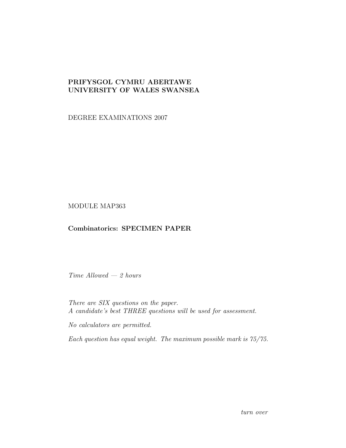## PRIFYSGOL CYMRU ABERTAWE UNIVERSITY OF WALES SWANSEA

DEGREE EXAMINATIONS 2007

MODULE MAP363

## Combinatorics: SPECIMEN PAPER

Time Allowed — 2 hours

There are SIX questions on the paper. A candidate's best THREE questions will be used for assessment.

No calculators are permitted.

Each question has equal weight. The maximum possible mark is 75/75.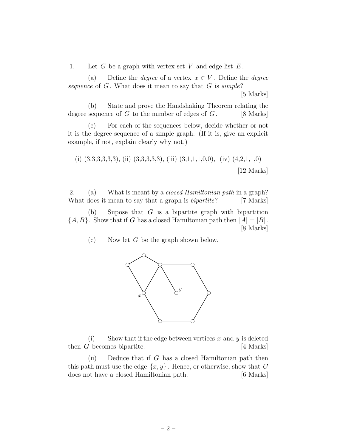1. Let G be a graph with vertex set V and edge list  $E$ .

(a) Define the *degree* of a vertex  $x \in V$ . Define the *degree* sequence of  $G$ . What does it mean to say that  $G$  is simple?

[5 Marks]

(b) State and prove the Handshaking Theorem relating the degree sequence of  $G$  to the number of edges of  $G$ . [8 Marks]

(c) For each of the sequences below, decide whether or not it is the degree sequence of a simple graph. (If it is, give an explicit example, if not, explain clearly why not.)

(i) 
$$
(3,3,3,3,3,3)
$$
, (ii)  $(3,3,3,3,3)$ , (iii)  $(3,1,1,1,0,0)$ , (iv)  $(4,2,1,1,0)$  [12 Marks]

2. (a) What is meant by a closed Hamiltonian path in a graph? What does it mean to say that a graph is *bipartite*? [7 Marks]

(b) Supose that  $G$  is a bipartite graph with bipartition  ${A, B}$ . Show that if G has a closed Hamiltonian path then  $|A| = |B|$ . [8 Marks]

(c) Now let G be the graph shown below.



(i) Show that if the edge between vertices x and y is deleted then  $G$  becomes bipartite.  $[4 \text{ Marks}]$ 

(ii) Deduce that if  $G$  has a closed Hamiltonian path then this path must use the edge  $\{x, y\}$ . Hence, or otherwise, show that G does not have a closed Hamiltonian path. [6 Marks]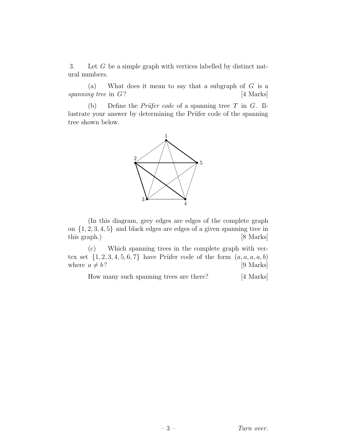3. Let G be a simple graph with vertices labelled by distinct natural numbers.

(a) What does it mean to say that a subgraph of  $G$  is a spanning tree in  $G$ ? [4 Marks]

(b) Define the *Prüfer code* of a spanning tree  $T$  in  $G$ . Illustrate your answer by determining the Prüfer code of the spanning tree shown below.



(In this diagram, grey edges are edges of the complete graph on  $\{1, 2, 3, 4, 5\}$  and black edges are edges of a given spanning tree in this graph.) [8 Marks]

(c) Which spanning trees in the complete graph with vertex set  $\{1, 2, 3, 4, 5, 6, 7\}$  have Prüfer code of the form  $(a, a, a, a, b)$ where  $a \neq b$ ? [9 Marks]

How many such spanning trees are there? [4 Marks]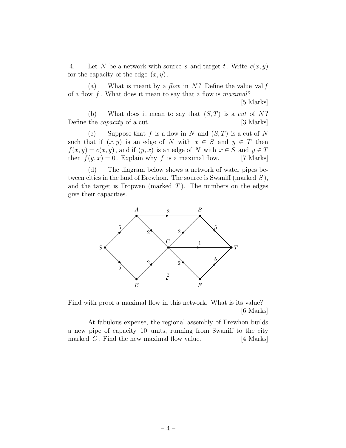4. Let N be a network with source s and target t. Write  $c(x, y)$ for the capacity of the edge  $(x, y)$ .

(a) What is meant by a *flow* in N? Define the value val f of a flow  $f$ . What does it mean to say that a flow is maximal?

[5 Marks]

(b) What does it mean to say that  $(S, T)$  is a cut of N? Define the *capacity* of a cut. [3 Marks]

(c) Suppose that f is a flow in N and  $(S, T)$  is a cut of N such that if  $(x, y)$  is an edge of N with  $x \in S$  and  $y \in T$  then  $f(x, y) = c(x, y)$ , and if  $(y, x)$  is an edge of N with  $x \in S$  and  $y \in T$ then  $f(y, x) = 0$ . Explain why f is a maximal flow. [7 Marks]

(d) The diagram below shows a network of water pipes between cities in the land of Erewhon. The source is Swaniff (marked  $S$ ), and the target is Tropwen (marked  $T$ ). The numbers on the edges give their capacities.



Find with proof a maximal flow in this network. What is its value? [6 Marks]

At fabulous expense, the regional assembly of Erewhon builds a new pipe of capacity 10 units, running from Swaniff to the city marked  $C$ . Find the new maximal flow value.  $[4 \text{ Marks}]$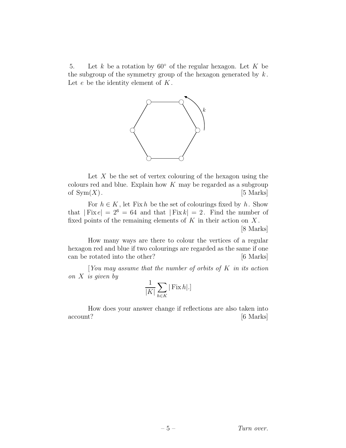5. Let k be a rotation by  $60°$  of the regular hexagon. Let K be the subgroup of the symmetry group of the hexagon generated by  $k$ . Let  $e$  be the identity element of  $K$ .



Let  $X$  be the set of vertex colouring of the hexagon using the colours red and blue. Explain how  $K$  may be regarded as a subgroup of  $\text{Sym}(X)$ . [5 Marks]

For  $h \in K$ , let Fix h be the set of colourings fixed by h. Show that  $| Fix e| = 2^6 = 64$  and that  $| Fix k| = 2$ . Find the number of fixed points of the remaining elements of  $K$  in their action on  $X$ .

[8 Marks]

How many ways are there to colour the vertices of a regular hexagon red and blue if two colourings are regarded as the same if one can be rotated into the other? [6 Marks]

[You may assume that the number of orbits of  $K$  in its action on  $X$  is given by

$$
\frac{1}{|K|}\sum_{h\in K}|\operatorname{Fix} h|.]
$$

How does your answer change if reflections are also taken into account? [6 Marks]